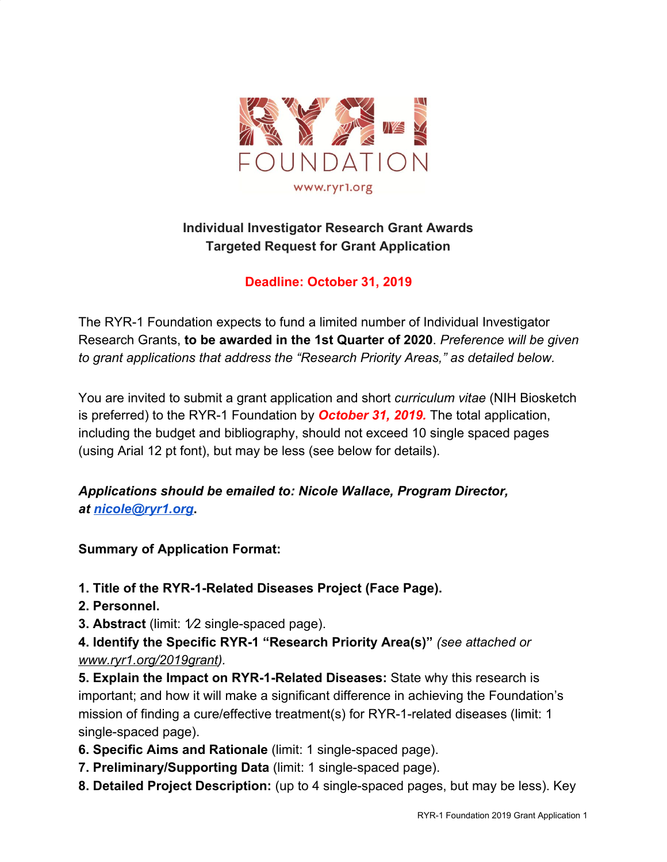

# **Individual Investigator Research Grant Awards Targeted Request for Grant Application**

# **Deadline: October 31, 2019**

The RYR-1 Foundation expects to fund a limited number of Individual Investigator Research Grants, **to be awarded in the 1st Quarter of 2020**. *Preference will be given to grant applications that address the "Research Priority Areas," as detailed below.*

You are invited to submit a grant application and short *curriculum vitae* (NIH Biosketch is preferred) to the RYR-1 Foundation by *October 31, 2019.* The total application, including the budget and bibliography, should not exceed 10 single spaced pages (using Arial 12 pt font), but may be less (see below for details).

# *Applications should be emailed to: Nicole Wallace, Program Director, at [nicole@ryr1.org](mailto:nicole@ryr1.org)***.**

#### **Summary of Application Format:**

**1. Title of the RYR-1-Related Diseases Project (Face Page).**

- **2. Personnel.**
- **3. Abstract** (limit: 1⁄2 single-spaced page).

**4. Identify the Specific RYR-1 "Research Priority Area(s)"** *(see attached or [www.ryr1.org/2019grant](http://www.ryr1.org/2019grant)).*

**5. Explain the Impact on RYR-1-Related Diseases:** State why this research is important; and how it will make a significant difference in achieving the Foundation's mission of finding a cure/effective treatment(s) for RYR-1-related diseases (limit: 1 single-spaced page).

- **6. Specific Aims and Rationale** (limit: 1 single-spaced page).
- **7. Preliminary/Supporting Data** (limit: 1 single-spaced page).
- **8. Detailed Project Description:** (up to 4 single-spaced pages, but may be less). Key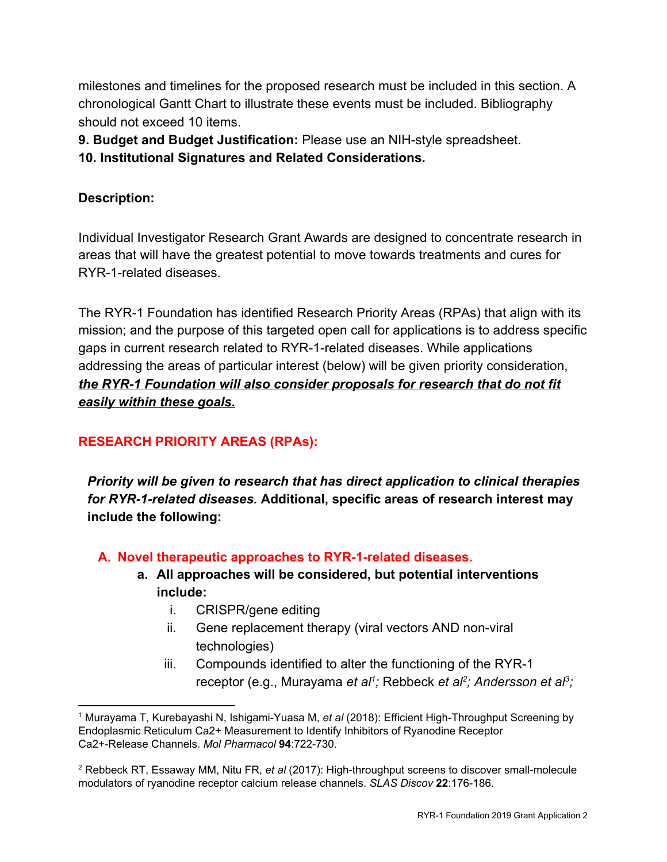milestones and timelines for the proposed research must be included in this section. A chronological Gantt Chart to illustrate these events must be included. Bibliography should not exceed 10 items.

**9. Budget and Budget Justification:** Please use an NIH-style spreadsheet.

**10. Institutional Signatures and Related Considerations.**

## **Description:**

Individual Investigator Research Grant Awards are designed to concentrate research in areas that will have the greatest potential to move towards treatments and cures for RYR-1-related diseases.

The RYR-1 Foundation has identified Research Priority Areas (RPAs) that align with its mission; and the purpose of this targeted open call for applications is to address specific gaps in current research related to RYR-1-related diseases. While applications addressing the areas of particular interest (below) will be given priority consideration, *the RYR-1 Foundation will also consider proposals for research that do not fit easily within these goals.*

# **RESEARCH PRIORITY AREAS (RPAs):**

*Priority will be given to research that has direct application to clinical therapies for RYR-1-related diseases.* **Additional, specific areas of research interest may include the following:**

## **A. Novel therapeutic approaches to RYR-1-related diseases.**

- **a. All approaches will be considered, but potential interventions include:**
	- i. CRISPR/gene editing
	- ii. Gene replacement therapy (viral vectors AND non-viral technologies)
	- iii. Compounds identified to alter the functioning of the RYR-1 receptor (e.g., Murayama *et al<sup>1</sup>;* Rebbeck *et al<sup>2</sup>; Andersson et al<sup>3</sup>;*

<sup>1</sup> Murayama T, Kurebayashi N, Ishigami-Yuasa M, *et al* (2018): Efficient High-Throughput Screening by Endoplasmic Reticulum Ca2+ Measurement to Identify Inhibitors of Ryanodine Receptor Ca2+-Release Channels. *Mol Pharmacol* **94**:722-730.

[<sup>2</sup>](http://docs.wixstatic.com/ugd/231519_834faa47e5824956bda90145c8bf3320.pdf) Rebbeck RT, Essaway MM, Nitu FR, *et al* (2017): High-throughput screens to discover small-molecule modulators of ryanodine receptor calcium release channels. *SLAS Discov* **22**:176-186.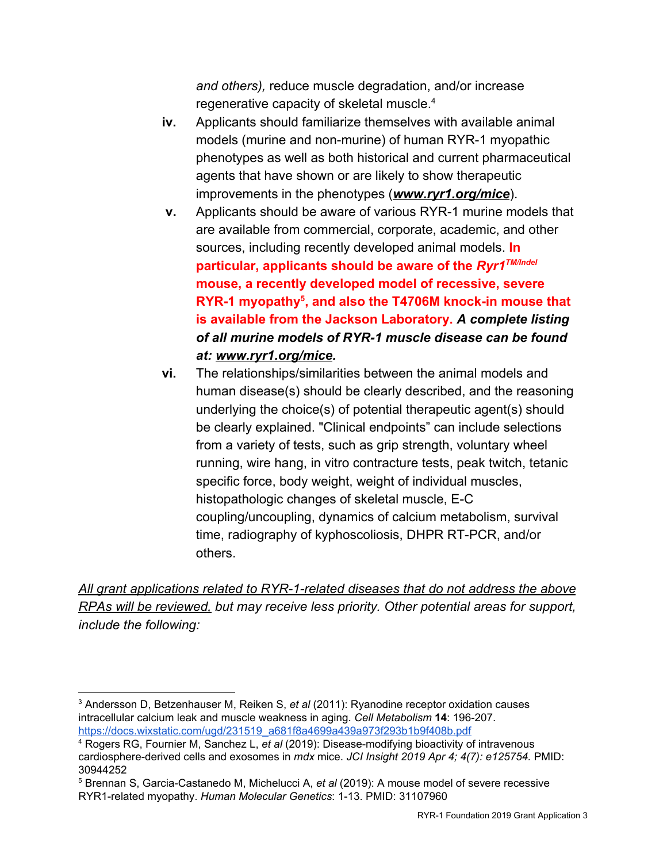*and others),* reduce muscle degradation, and/or increase regenerative capacity of skeletal muscle.<sup>4</sup>

- **iv.** Applicants should familiarize themselves with available animal models (murine and non-murine) of human RYR-1 myopathic phenotypes as well as both historical and current pharmaceutical agents that have shown or are likely to show therapeutic improvements in the phenotypes (*[www.ryr1.org/mice](http://www.ryr1.org/mice)*).
- **v.** Applicants should be aware of various RYR-1 murine models that are available from commercial, corporate, academic, and other sources, including recently developed animal models. **In particular, applicants should be aware of the** *Ryr1TM/Indel* **mouse, a recently developed model of recessive, severe RYR-1 myopathy<sup>5</sup>, and also the T4706M knock-in mouse that is available from the Jackson Laboratory.** *A complete listing of all murine models of RYR-1 muscle disease can be found at: [www.ryr1.org/mice](http://www.ryr1.org/mice).*
- **vi.** The relationships/similarities between the animal models and human disease(s) should be clearly described, and the reasoning underlying the choice(s) of potential therapeutic agent(s) should be clearly explained. "Clinical endpoints" can include selections from a variety of tests, such as grip strength, voluntary wheel running, wire hang, in vitro contracture tests, peak twitch, tetanic specific force, body weight, weight of individual muscles, histopathologic changes of skeletal muscle, E-C coupling/uncoupling, dynamics of calcium metabolism, survival time, radiography of kyphoscoliosis, DHPR RT-PCR, and/or others.

*All grant applications related to RYR-1-related diseases that do not address the above RPAs will be reviewed, but may receive less priority. Other potential areas for support, include the following:*

<sup>3</sup> Andersson D, Betzenhauser M, Reiken S, *et al* (2011): Ryanodine receptor oxidation causes intracellular calcium leak and muscle weakness in aging. *Cell Metabolism* **14**: 196-207. [https://docs.wixstatic.com/ugd/231519\\_a681f8a4699a439a973f293b1b9f408b.pdf](https://docs.wixstatic.com/ugd/231519_a681f8a4699a439a973f293b1b9f408b.pdf)

<sup>4</sup> Rogers RG, Fournier M, Sanchez L, *et al* (2019): Disease-modifying bioactivity of intravenous cardiosphere-derived cells and exosomes in *mdx* mice. *JCI Insight 2019 Apr 4; 4(7): e125754.* PMID: 30944252

<sup>5</sup> Brennan S, Garcia-Castanedo M, Michelucci A, *et al* (2019): A mouse model of severe recessive RYR1-related myopathy. *Human Molecular Genetics*: 1-13. PMID: 31107960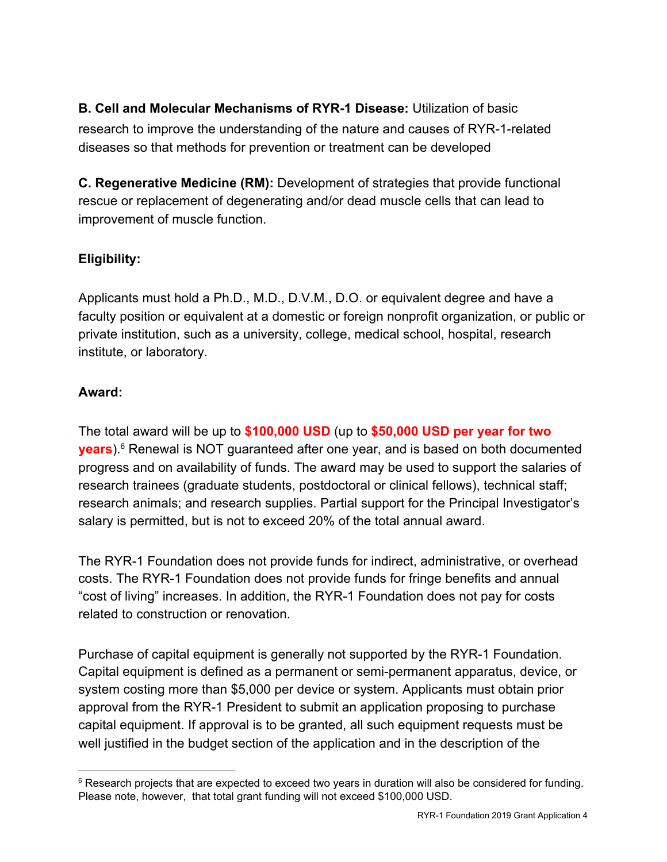**B. Cell and Molecular Mechanisms of RYR-1 Disease:** Utilization of basic research to improve the understanding of the nature and causes of RYR-1-related diseases so that methods for prevention or treatment can be developed

**C. Regenerative Medicine (RM):** Development of strategies that provide functional rescue or replacement of degenerating and/or dead muscle cells that can lead to improvement of muscle function.

# **Eligibility:**

Applicants must hold a Ph.D., M.D., D.V.M., D.O. or equivalent degree and have a faculty position or equivalent at a domestic or foreign nonprofit organization, or public or private institution, such as a university, college, medical school, hospital, research institute, or laboratory.

#### **Award:**

The total award will be up to **\$100,000 USD** (up to **\$50,000 USD per year for two years**).<sup>6</sup> Renewal is NOT guaranteed after one year, and is based on both documented progress and on availability of funds. The award may be used to support the salaries of research trainees (graduate students, postdoctoral or clinical fellows), technical staff; research animals; and research supplies. Partial support for the Principal Investigator's salary is permitted, but is not to exceed 20% of the total annual award.

The RYR-1 Foundation does not provide funds for indirect, administrative, or overhead costs. The RYR-1 Foundation does not provide funds for fringe benefits and annual "cost of living" increases. In addition, the RYR-1 Foundation does not pay for costs related to construction or renovation.

Purchase of capital equipment is generally not supported by the RYR-1 Foundation. Capital equipment is defined as a permanent or semi-permanent apparatus, device, or system costing more than \$5,000 per device or system. Applicants must obtain prior approval from the RYR-1 President to submit an application proposing to purchase capital equipment. If approval is to be granted, all such equipment requests must be well justified in the budget section of the application and in the description of the

 $6$  Research projects that are expected to exceed two years in duration will also be considered for funding. Please note, however, that total grant funding will not exceed \$100,000 USD.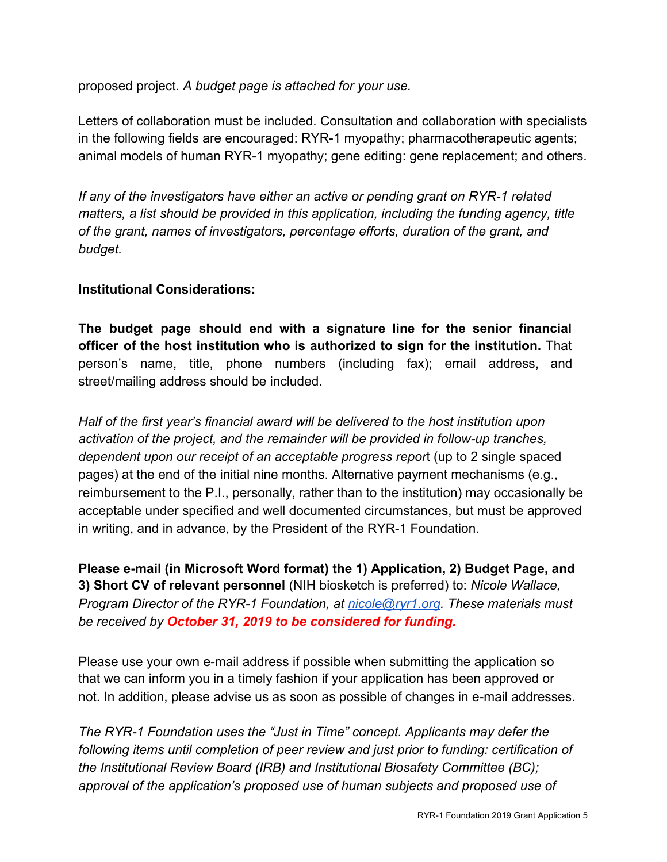proposed project. *A budget page is attached for your use.*

Letters of collaboration must be included. Consultation and collaboration with specialists in the following fields are encouraged: RYR-1 myopathy; pharmacotherapeutic agents; animal models of human RYR-1 myopathy; gene editing: gene replacement; and others.

*If any of the investigators have either an active or pending grant on RYR-1 related matters, a list should be provided in this application, including the funding agency, title of the grant, names of investigators, percentage efforts, duration of the grant, and budget.*

#### **Institutional Considerations:**

**The budget page should end with a signature line for the senior financial officer of the host institution who is authorized to sign for the institution.** That person's name, title, phone numbers (including fax); email address, and street/mailing address should be included.

*Half of the first year's financial award will be delivered to the host institution upon activation of the project, and the remainder will be provided in follow-up tranches, dependent upon our receipt of an acceptable progress repor*t (up to 2 single spaced pages) at the end of the initial nine months. Alternative payment mechanisms (e.g., reimbursement to the P.I., personally, rather than to the institution) may occasionally be acceptable under specified and well documented circumstances, but must be approved in writing, and in advance, by the President of the RYR-1 Foundation.

**Please e-mail (in Microsoft Word format) the 1) Application, 2) Budget Page, and 3) Short CV of relevant personnel** (NIH biosketch is preferred) to: *Nicole Wallace, Program Director of the RYR-1 Foundation, at [nicole@ryr1.org](mailto:nicole@ryr1.org). These materials must be received by October 31, 2019 to be considered for funding.*

Please use your own e-mail address if possible when submitting the application so that we can inform you in a timely fashion if your application has been approved or not. In addition, please advise us as soon as possible of changes in e-mail addresses.

*The RYR-1 Foundation uses the "Just in Time" concept. Applicants may defer the following items until completion of peer review and just prior to funding: certification of the Institutional Review Board (IRB) and Institutional Biosafety Committee (BC); approval of the application's proposed use of human subjects and proposed use of*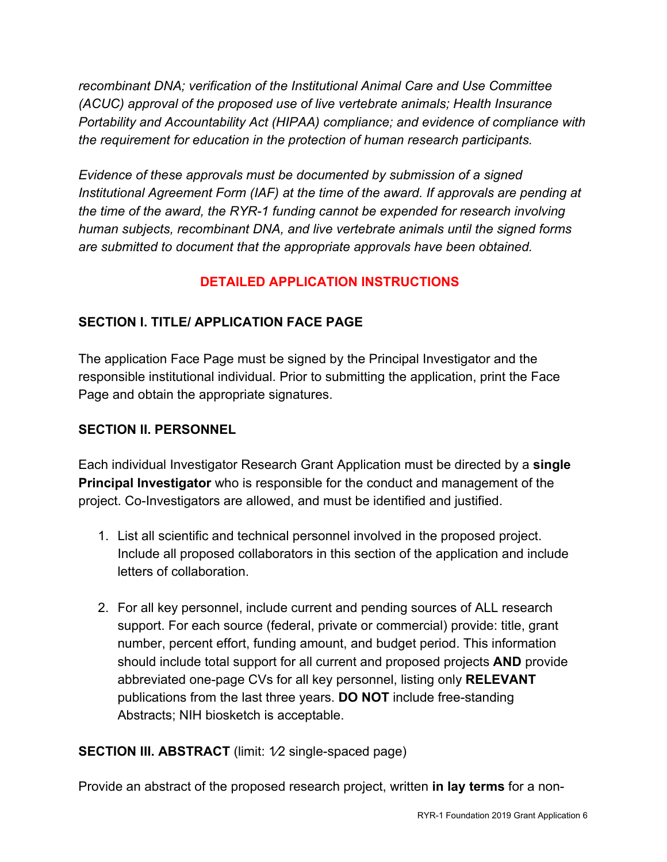*recombinant DNA; verification of the Institutional Animal Care and Use Committee (ACUC) approval of the proposed use of live vertebrate animals; Health Insurance Portability and Accountability Act (HIPAA) compliance; and evidence of compliance with the requirement for education in the protection of human research participants.*

*Evidence of these approvals must be documented by submission of a signed Institutional Agreement Form (IAF) at the time of the award. If approvals are pending at the time of the award, the RYR-1 funding cannot be expended for research involving human subjects, recombinant DNA, and live vertebrate animals until the signed forms are submitted to document that the appropriate approvals have been obtained.*

## **DETAILED APPLICATION INSTRUCTIONS**

# **SECTION I. TITLE/ APPLICATION FACE PAGE**

The application Face Page must be signed by the Principal Investigator and the responsible institutional individual. Prior to submitting the application, print the Face Page and obtain the appropriate signatures.

## **SECTION II. PERSONNEL**

Each individual Investigator Research Grant Application must be directed by a **single Principal Investigator** who is responsible for the conduct and management of the project. Co-Investigators are allowed, and must be identified and justified.

- 1. List all scientific and technical personnel involved in the proposed project. Include all proposed collaborators in this section of the application and include letters of collaboration.
- 2. For all key personnel, include current and pending sources of ALL research support. For each source (federal, private or commercial) provide: title, grant number, percent effort, funding amount, and budget period. This information should include total support for all current and proposed projects **AND** provide abbreviated one-page CVs for all key personnel, listing only **RELEVANT** publications from the last three years. **DO NOT** include free-standing Abstracts; NIH biosketch is acceptable.

## **SECTION III. ABSTRACT** (limit: 1/2 single-spaced page)

Provide an abstract of the proposed research project, written **in lay terms** for a non-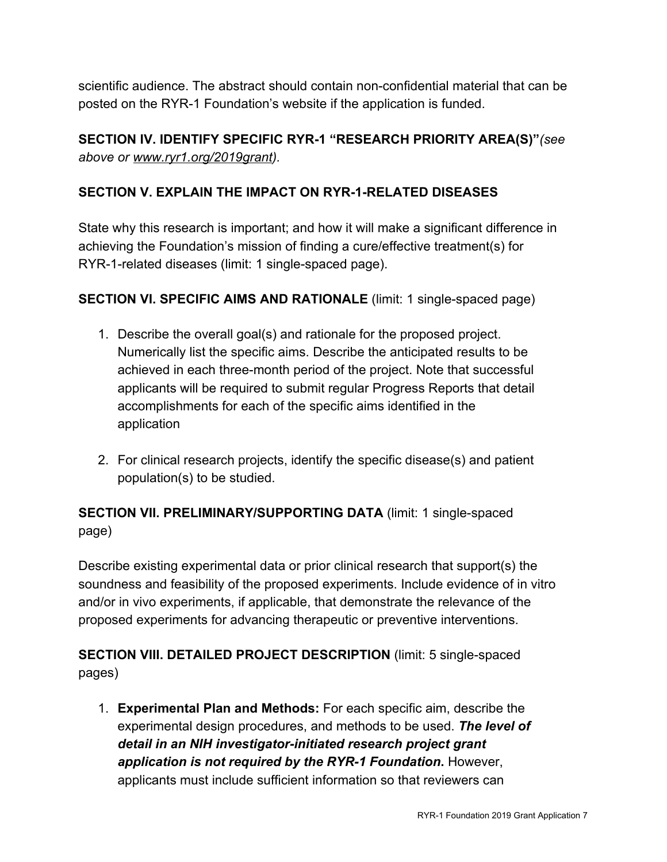scientific audience. The abstract should contain non-confidential material that can be posted on the RYR-1 Foundation's website if the application is funded.

# **SECTION IV. IDENTIFY SPECIFIC RYR-1 "RESEARCH PRIORITY AREA(S)"***(see above or [www.ryr1.org/2019grant](http://www.ryr1.org/2019grant)).*

## **SECTION V. EXPLAIN THE IMPACT ON RYR-1-RELATED DISEASES**

State why this research is important; and how it will make a significant difference in achieving the Foundation's mission of finding a cure/effective treatment(s) for RYR-1-related diseases (limit: 1 single-spaced page).

#### **SECTION VI. SPECIFIC AIMS AND RATIONALE** (limit: 1 single-spaced page)

- 1. Describe the overall goal(s) and rationale for the proposed project. Numerically list the specific aims. Describe the anticipated results to be achieved in each three-month period of the project. Note that successful applicants will be required to submit regular Progress Reports that detail accomplishments for each of the specific aims identified in the application
- 2. For clinical research projects, identify the specific disease(s) and patient population(s) to be studied.

# **SECTION VII. PRELIMINARY/SUPPORTING DATA** (limit: 1 single-spaced page)

Describe existing experimental data or prior clinical research that support(s) the soundness and feasibility of the proposed experiments. Include evidence of in vitro and/or in vivo experiments, if applicable, that demonstrate the relevance of the proposed experiments for advancing therapeutic or preventive interventions.

# **SECTION VIII. DETAILED PROJECT DESCRIPTION** (limit: 5 single-spaced pages)

1. **Experimental Plan and Methods:** For each specific aim, describe the experimental design procedures, and methods to be used. *The level of detail in an NIH investigator-initiated research project grant application is not required by the RYR-1 Foundation***.** However, applicants must include sufficient information so that reviewers can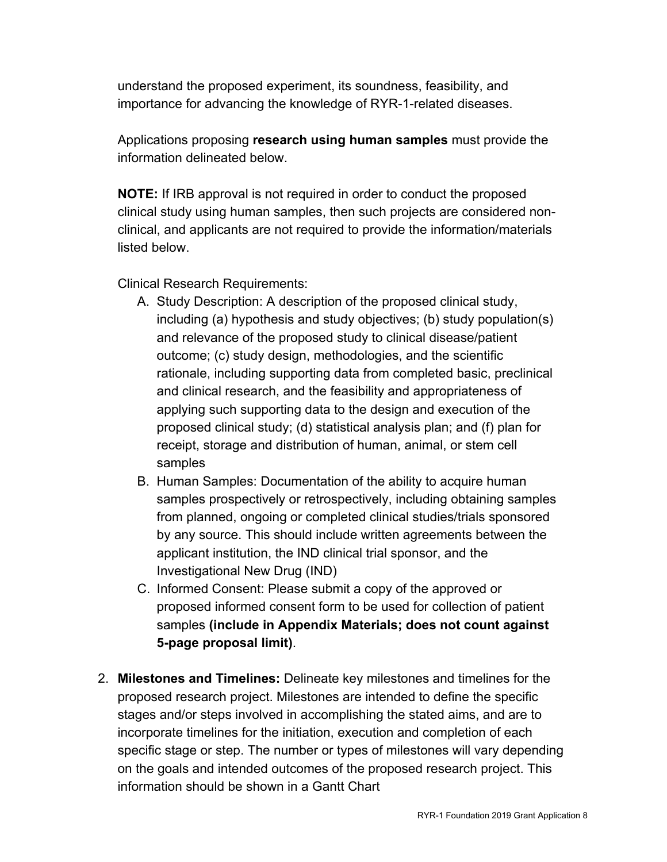understand the proposed experiment, its soundness, feasibility, and importance for advancing the knowledge of RYR-1-related diseases.

Applications proposing **research using human samples** must provide the information delineated below.

**NOTE:** If IRB approval is not required in order to conduct the proposed clinical study using human samples, then such projects are considered nonclinical, and applicants are not required to provide the information/materials listed below.

Clinical Research Requirements:

- A. Study Description: A description of the proposed clinical study, including (a) hypothesis and study objectives; (b) study population(s) and relevance of the proposed study to clinical disease/patient outcome; (c) study design, methodologies, and the scientific rationale, including supporting data from completed basic, preclinical and clinical research, and the feasibility and appropriateness of applying such supporting data to the design and execution of the proposed clinical study; (d) statistical analysis plan; and (f) plan for receipt, storage and distribution of human, animal, or stem cell samples
- B. Human Samples: Documentation of the ability to acquire human samples prospectively or retrospectively, including obtaining samples from planned, ongoing or completed clinical studies/trials sponsored by any source. This should include written agreements between the applicant institution, the IND clinical trial sponsor, and the Investigational New Drug (IND)
- C. Informed Consent: Please submit a copy of the approved or proposed informed consent form to be used for collection of patient samples **(include in Appendix Materials; does not count against 5-page proposal limit)**.
- 2. **Milestones and Timelines:** Delineate key milestones and timelines for the proposed research project. Milestones are intended to define the specific stages and/or steps involved in accomplishing the stated aims, and are to incorporate timelines for the initiation, execution and completion of each specific stage or step. The number or types of milestones will vary depending on the goals and intended outcomes of the proposed research project. This information should be shown in a Gantt Chart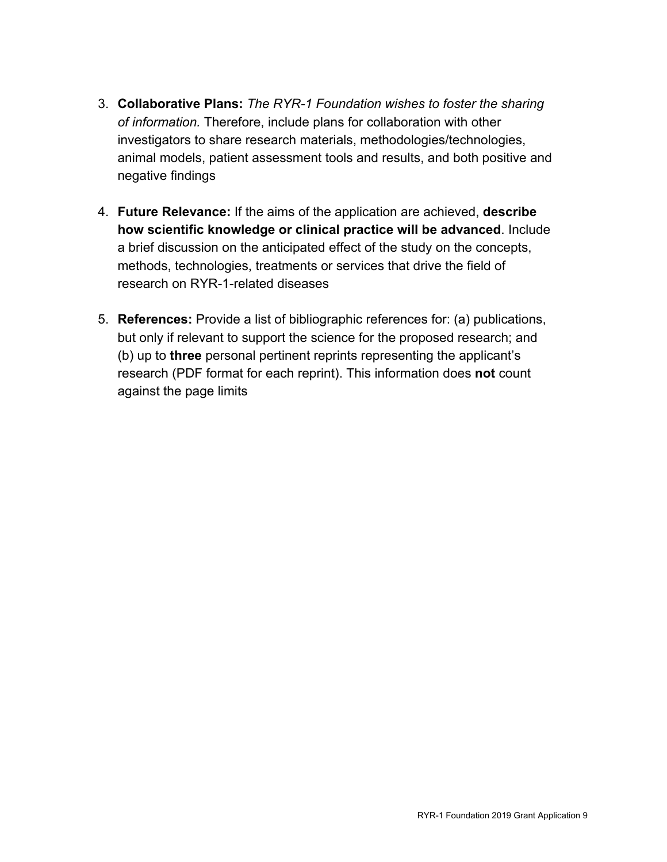- 3. **Collaborative Plans:** *The RYR-1 Foundation wishes to foster the sharing of information.* Therefore, include plans for collaboration with other investigators to share research materials, methodologies/technologies, animal models, patient assessment tools and results, and both positive and negative findings
- 4. **Future Relevance:** If the aims of the application are achieved, **describe how scientific knowledge or clinical practice will be advanced**. Include a brief discussion on the anticipated effect of the study on the concepts, methods, technologies, treatments or services that drive the field of research on RYR-1-related diseases
- 5. **References:** Provide a list of bibliographic references for: (a) publications, but only if relevant to support the science for the proposed research; and (b) up to **three** personal pertinent reprints representing the applicant's research (PDF format for each reprint). This information does **not** count against the page limits